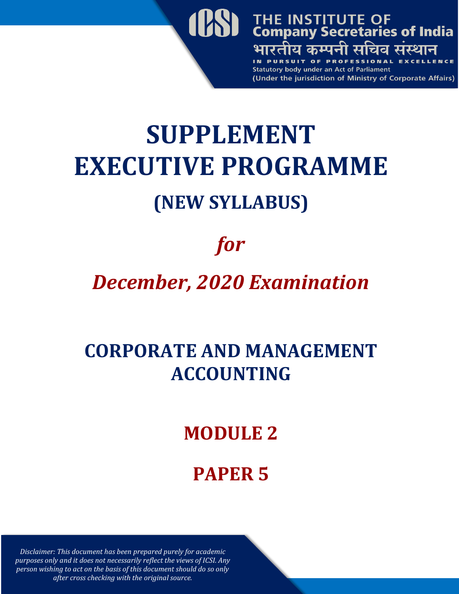

# **SUPPLEMENT EXECUTIVE PROGRAMME (NEW SYLLABUS)**

# *for*

## *December, 2020 Examination*

### **CORPORATE AND MANAGEMENT ACCOUNTING**

### **MODULE 2**

### **PAPER 5**

*Disclaimer: This document has been prepared purely for academic purposes only and it does not necessarily reflect the views of ICSI. Any person wishing to act on the basis of this document should do so only after cross checking with the original source.*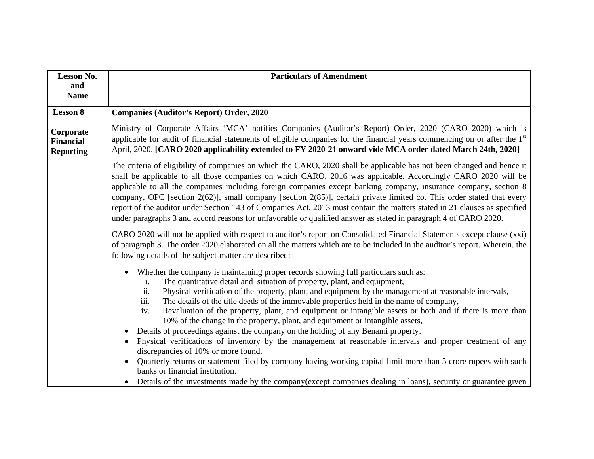| <b>Lesson No.</b>                                 | <b>Particulars of Amendment</b>                                                                                                                                                                                                                                                                                                                                                                                                                                                                                                                                                                                                                                                                                                                                                                                                                                                                                                                                                                                                                                                                                              |  |  |
|---------------------------------------------------|------------------------------------------------------------------------------------------------------------------------------------------------------------------------------------------------------------------------------------------------------------------------------------------------------------------------------------------------------------------------------------------------------------------------------------------------------------------------------------------------------------------------------------------------------------------------------------------------------------------------------------------------------------------------------------------------------------------------------------------------------------------------------------------------------------------------------------------------------------------------------------------------------------------------------------------------------------------------------------------------------------------------------------------------------------------------------------------------------------------------------|--|--|
| and<br><b>Name</b>                                |                                                                                                                                                                                                                                                                                                                                                                                                                                                                                                                                                                                                                                                                                                                                                                                                                                                                                                                                                                                                                                                                                                                              |  |  |
| <b>Lesson 8</b>                                   | <b>Companies (Auditor's Report) Order, 2020</b>                                                                                                                                                                                                                                                                                                                                                                                                                                                                                                                                                                                                                                                                                                                                                                                                                                                                                                                                                                                                                                                                              |  |  |
| Corporate<br><b>Financial</b><br><b>Reporting</b> | Ministry of Corporate Affairs 'MCA' notifies Companies (Auditor's Report) Order, 2020 (CARO 2020) which is<br>applicable for audit of financial statements of eligible companies for the financial years commencing on or after the 1 <sup>st</sup><br>April, 2020. [CARO 2020 applicability extended to FY 2020-21 onward vide MCA order dated March 24th, 2020]                                                                                                                                                                                                                                                                                                                                                                                                                                                                                                                                                                                                                                                                                                                                                            |  |  |
|                                                   | The criteria of eligibility of companies on which the CARO, 2020 shall be applicable has not been changed and hence it<br>shall be applicable to all those companies on which CARO, 2016 was applicable. Accordingly CARO 2020 will be<br>applicable to all the companies including foreign companies except banking company, insurance company, section 8<br>company, OPC [section 2(62)], small company [section 2(85)], certain private limited co. This order stated that every<br>report of the auditor under Section 143 of Companies Act, 2013 must contain the matters stated in 21 clauses as specified<br>under paragraphs 3 and accord reasons for unfavorable or qualified answer as stated in paragraph 4 of CARO 2020.                                                                                                                                                                                                                                                                                                                                                                                         |  |  |
|                                                   | CARO 2020 will not be applied with respect to auditor's report on Consolidated Financial Statements except clause (xxi)<br>of paragraph 3. The order 2020 elaborated on all the matters which are to be included in the auditor's report. Wherein, the<br>following details of the subject-matter are described:                                                                                                                                                                                                                                                                                                                                                                                                                                                                                                                                                                                                                                                                                                                                                                                                             |  |  |
|                                                   | Whether the company is maintaining proper records showing full particulars such as:<br>$\bullet$<br>The quantitative detail and situation of property, plant, and equipment,<br>i.<br>Physical verification of the property, plant, and equipment by the management at reasonable intervals,<br>ii.<br>iii.<br>The details of the title deeds of the immovable properties held in the name of company,<br>Revaluation of the property, plant, and equipment or intangible assets or both and if there is more than<br>iv.<br>10% of the change in the property, plant, and equipment or intangible assets,<br>Details of proceedings against the company on the holding of any Benami property.<br>Physical verifications of inventory by the management at reasonable intervals and proper treatment of any<br>discrepancies of 10% or more found.<br>Quarterly returns or statement filed by company having working capital limit more than 5 crore rupees with such<br>banks or financial institution.<br>Details of the investments made by the company (except companies dealing in loans), security or guarantee given |  |  |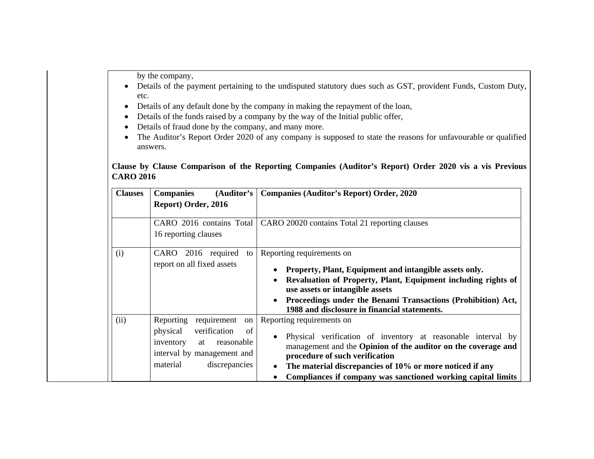by the company,

- Details of the payment pertaining to the undisputed statutory dues such as GST, provident Funds, Custom Duty, etc.
- Details of any default done by the company in making the repayment of the loan,
- $\bullet$ Details of the funds raised by a company by the way of the Initial public offer,
- $\bullet$ Details of fraud done by the company, and many more.
- $\bullet$  The Auditor's Report Order 2020 of any company is supposed to state the reasons for unfavourable or qualified answers.

#### **Clause by Clause Comparison of the Reporting Companies (Auditor's Report) Order 2020 vis a vis Previous CARO 2016**

| <b>Clauses</b> | (Auditor's<br><b>Companies</b><br>Report) Order, 2016                                                                                                        | <b>Companies (Auditor's Report) Order, 2020</b>                                                                                                                                                                                                                                                                          |
|----------------|--------------------------------------------------------------------------------------------------------------------------------------------------------------|--------------------------------------------------------------------------------------------------------------------------------------------------------------------------------------------------------------------------------------------------------------------------------------------------------------------------|
|                | CARO 2016 contains Total<br>16 reporting clauses                                                                                                             | CARO 20020 contains Total 21 reporting clauses                                                                                                                                                                                                                                                                           |
| (i)            | 2016 required<br>CARO<br>to<br>report on all fixed assets                                                                                                    | Reporting requirements on<br>Property, Plant, Equipment and intangible assets only.<br>Revaluation of Property, Plant, Equipment including rights of<br>use assets or intangible assets<br>Proceedings under the Benami Transactions (Prohibition) Act,<br>1988 and disclosure in financial statements.                  |
| (ii)           | Reporting<br>requirement<br>on<br>physical<br>verification<br>of<br>inventory<br>reasonable<br>at<br>interval by management and<br>material<br>discrepancies | Reporting requirements on<br>Physical verification of inventory at reasonable interval by<br>management and the Opinion of the auditor on the coverage and<br>procedure of such verification<br>The material discrepancies of 10% or more noticed if any<br>Compliances if company was sanctioned working capital limits |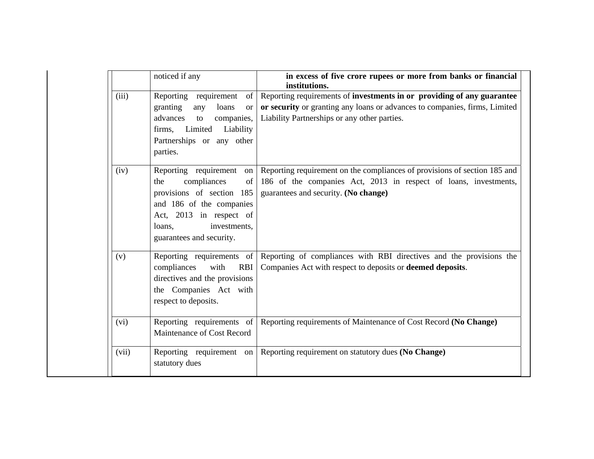|       | noticed if any                                                                                                                                                                                    | in excess of five crore rupees or more from banks or financial<br>institutions.                                                                                                                      |
|-------|---------------------------------------------------------------------------------------------------------------------------------------------------------------------------------------------------|------------------------------------------------------------------------------------------------------------------------------------------------------------------------------------------------------|
| (iii) | Reporting requirement<br>of  <br>granting<br>any<br>loans<br><b>or</b><br>companies,<br>advances<br>to<br>Limited Liability<br>firms,<br>Partnerships or any other<br>parties.                    | Reporting requirements of investments in or providing of any guarantee<br>or security or granting any loans or advances to companies, firms, Limited<br>Liability Partnerships or any other parties. |
| (iv)  | Reporting requirement<br>on<br>compliances<br>of<br>the<br>provisions of section 185<br>and 186 of the companies<br>Act, 2013 in respect of<br>investments,<br>loans,<br>guarantees and security. | Reporting requirement on the compliances of provisions of section 185 and<br>186 of the companies Act, 2013 in respect of loans, investments,<br>guarantees and security. (No change)                |
| (v)   | Reporting requirements of<br><b>RBI</b><br>compliances<br>with<br>directives and the provisions<br>the Companies Act with<br>respect to deposits.                                                 | Reporting of compliances with RBI directives and the provisions the<br>Companies Act with respect to deposits or <b>deemed deposits</b> .                                                            |
| (vi)  | Reporting requirements of<br>Maintenance of Cost Record                                                                                                                                           | Reporting requirements of Maintenance of Cost Record (No Change)                                                                                                                                     |
| (vii) | Reporting requirement on<br>statutory dues                                                                                                                                                        | Reporting requirement on statutory dues (No Change)                                                                                                                                                  |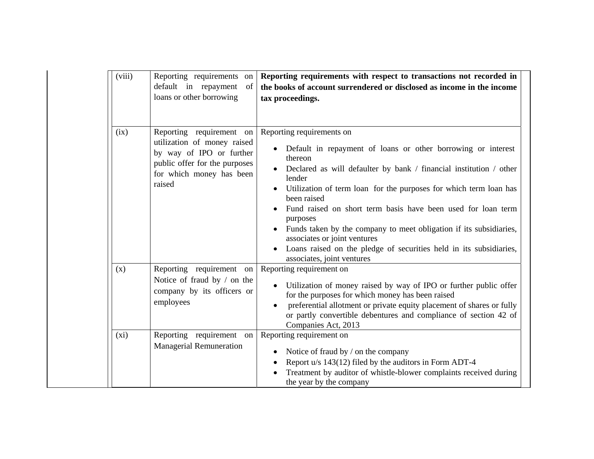| (viii) | Reporting requirements on<br>default in repayment<br>of<br>loans or other borrowing                                                                        | Reporting requirements with respect to transactions not recorded in<br>the books of account surrendered or disclosed as income in the income<br>tax proceedings.                                                                                                                                                                                                                                                                                                                                                                                               |
|--------|------------------------------------------------------------------------------------------------------------------------------------------------------------|----------------------------------------------------------------------------------------------------------------------------------------------------------------------------------------------------------------------------------------------------------------------------------------------------------------------------------------------------------------------------------------------------------------------------------------------------------------------------------------------------------------------------------------------------------------|
| (ix)   | Reporting requirement on<br>utilization of money raised<br>by way of IPO or further<br>public offer for the purposes<br>for which money has been<br>raised | Reporting requirements on<br>Default in repayment of loans or other borrowing or interest<br>thereon<br>Declared as will defaulter by bank / financial institution / other<br>lender<br>Utilization of term loan for the purposes for which term loan has<br>been raised<br>Fund raised on short term basis have been used for loan term<br>purposes<br>Funds taken by the company to meet obligation if its subsidiaries,<br>associates or joint ventures<br>Loans raised on the pledge of securities held in its subsidiaries,<br>associates, joint ventures |
| (x)    | Reporting requirement on<br>Notice of fraud by / on the<br>company by its officers or<br>employees                                                         | Reporting requirement on<br>Utilization of money raised by way of IPO or further public offer<br>for the purposes for which money has been raised<br>preferential allotment or private equity placement of shares or fully<br>or partly convertible debentures and compliance of section 42 of<br>Companies Act, 2013                                                                                                                                                                                                                                          |
| (xi)   | Reporting requirement on<br><b>Managerial Remuneration</b>                                                                                                 | Reporting requirement on<br>Notice of fraud by / on the company<br>$\bullet$<br>Report u/s 143(12) filed by the auditors in Form ADT-4<br>Treatment by auditor of whistle-blower complaints received during<br>the year by the company                                                                                                                                                                                                                                                                                                                         |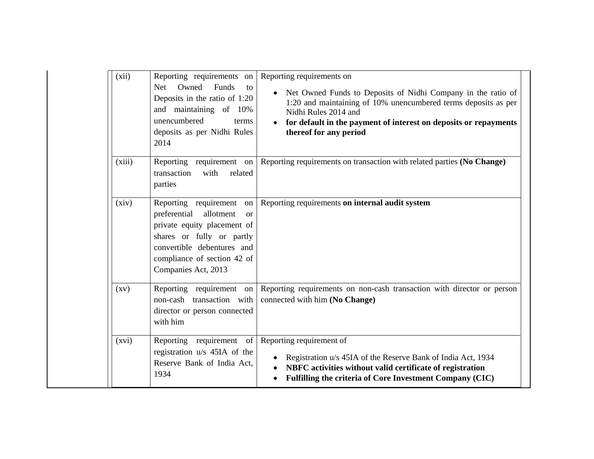| (xii)              | Reporting requirements on<br>Owned<br>Funds<br><b>Net</b><br>to<br>Deposits in the ratio of 1:20<br>and maintaining of 10%<br>unencumbered<br>terms<br>deposits as per Nidhi Rules<br>2014                            | Reporting requirements on<br>• Net Owned Funds to Deposits of Nidhi Company in the ratio of<br>1:20 and maintaining of 10% unencumbered terms deposits as per<br>Nidhi Rules 2014 and<br>for default in the payment of interest on deposits or repayments<br>thereof for any period |
|--------------------|-----------------------------------------------------------------------------------------------------------------------------------------------------------------------------------------------------------------------|-------------------------------------------------------------------------------------------------------------------------------------------------------------------------------------------------------------------------------------------------------------------------------------|
| (xiii)             | Reporting requirement on<br>transaction<br>with<br>related<br>parties                                                                                                                                                 | Reporting requirements on transaction with related parties (No Change)                                                                                                                                                                                                              |
| (xiv)              | Reporting requirement<br>on<br>preferential<br>allotment<br><b>or</b><br>private equity placement of<br>shares or fully or partly<br>convertible debentures and<br>compliance of section 42 of<br>Companies Act, 2013 | Reporting requirements on internal audit system                                                                                                                                                                                                                                     |
| $\left( xy\right)$ | Reporting requirement on<br>non-cash transaction with<br>director or person connected<br>with him                                                                                                                     | Reporting requirements on non-cash transaction with director or person<br>connected with him (No Change)                                                                                                                                                                            |
| (xvi)              | Reporting requirement of<br>registration u/s 45IA of the<br>Reserve Bank of India Act.<br>1934                                                                                                                        | Reporting requirement of<br>Registration u/s 45IA of the Reserve Bank of India Act, 1934<br>NBFC activities without valid certificate of registration<br>$\bullet$<br>Fulfilling the criteria of Core Investment Company (CIC)<br>$\bullet$                                         |